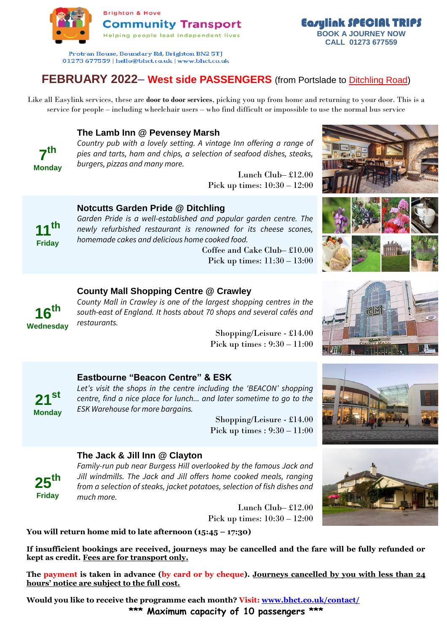

Protran House, Boundary Rd, Brighton BN2 5TJ 01273 677559 | hello@bhct.co.uk | www.bhct.co.uk

# **FEBRUARY 2022– West side PASSENGERS** (from Portslade to Ditchling Road)

Like all Easylink services, these are **door to door services**, picking you up from home and returning to your door. This is a service for people – including wheelchair users – who find difficult or impossible to use the normal bus service

## **The Lamb Inn @ Pevensey Marsh**

*Country pub with a lovely setting. A vintage Inn offering a range of pies and tarts, ham and chips, a selection of seafood dishes, steaks, burgers, pizzas and many more.*

> Lunch Club– £12.00 Pick up times: 10:30 – 12:00

## **Notcutts Garden Pride @ Ditchling**

**11th Friday**

**7 th Monday** 

> *Garden Pride is a well-established and popular garden centre. The newly refurbished restaurant is renowned for its cheese scones, homemade cakes and delicious home cooked food.*

Coffee and Cake Club– £10.00 Pick up times: 11:30 – 13:00



Easylink SPECIAL TRIPS **BOOK A JOURNEY NOW CALL 01273 677559**



#### **County Mall Shopping Centre @ Crawley**

**16th Wednesday**

*County Mall in Crawley is one of the largest shopping centres in the south-east of England. It hosts about 70 shops and several cafés and restaurants.*

Shopping/Leisure - £14.00 Pick up times : 9:30 – 11:00





# **Eastbourne "Beacon Centre" & ESK**

*Let's visit the shops in the centre including the 'BEACON' shopping centre, find a nice place for lunch... and later sometime to go to the ESK Warehouse for more bargains.*

Shopping/Leisure - £14.00 Pick up times : 9:30 – 11:00

#### **The Jack & Jill Inn @ Clayton**

**25th Friday**

**21 st Monday**

> *Family-run pub near Burgess Hill overlooked by the famous Jack and Jill windmills. The Jack and Jill offers home cooked meals, ranging from a selection of steaks, jacket potatoes, selection of fish dishes and much more.*

> > Lunch Club– £12.00 Pick up times: 10:30 – 12:00

**You will return home mid to late afternoon (15:45 – 17:30)**

**If insufficient bookings are received, journeys may be cancelled and the fare will be fully refunded or kept as credit. Fees are for transport only.**

**The payment is taken in advance (by card or by cheque). Journeys cancelled by you with less than 24 hours' notice are subject to the full cost.**

**Would you like to receive the programme each month? Visit: [www.bhct.co.uk/contact/](http://www.bhct.co.uk/contact/) \*\*\* Maximum capacity of 10 passengers \*\*\***